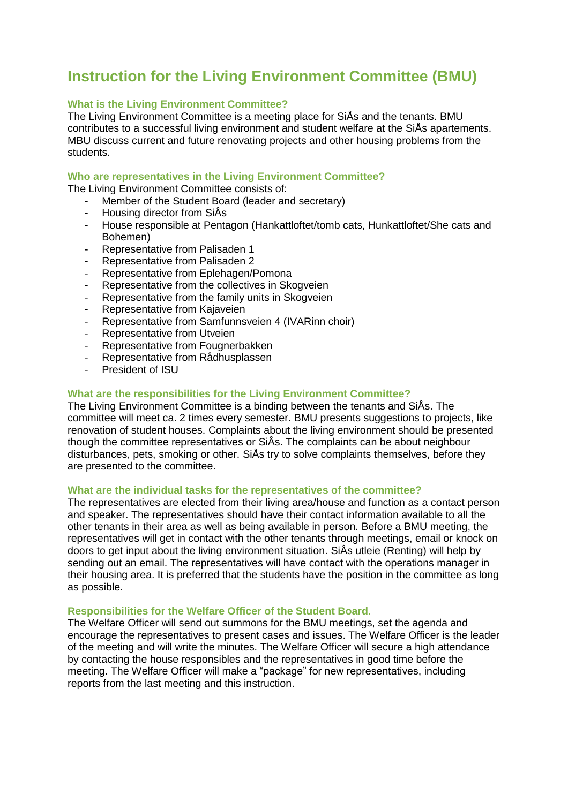# **Instruction for the Living Environment Committee (BMU)**

## **What is the Living Environment Committee?**

The Living Environment Committee is a meeting place for SiÅs and the tenants. BMU contributes to a successful living environment and student welfare at the SiÅs apartements. MBU discuss current and future renovating projects and other housing problems from the students.

## **Who are representatives in the Living Environment Committee?**

The Living Environment Committee consists of:

- Member of the Student Board (leader and secretary)
- Housing director from SiÅs
- House responsible at Pentagon (Hankattloftet/tomb cats, Hunkattloftet/She cats and Bohemen)
- Representative from Palisaden 1
- Representative from Palisaden 2
- Representative from Eplehagen/Pomona
- Representative from the collectives in Skogveien
- Representative from the family units in Skogveien
- Representative from Kajaveien
- Representative from Samfunnsveien 4 (IVARinn choir)
- Representative from Utveien
- Representative from Fougnerbakken
- Representative from Rådhusplassen
- President of ISU

## **What are the responsibilities for the Living Environment Committee?**

The Living Environment Committee is a binding between the tenants and SiÅs. The committee will meet ca. 2 times every semester. BMU presents suggestions to projects, like renovation of student houses. Complaints about the living environment should be presented though the committee representatives or SiÅs. The complaints can be about neighbour disturbances, pets, smoking or other. SiÅs try to solve complaints themselves, before they are presented to the committee.

### **What are the individual tasks for the representatives of the committee?**

The representatives are elected from their living area/house and function as a contact person and speaker. The representatives should have their contact information available to all the other tenants in their area as well as being available in person. Before a BMU meeting, the representatives will get in contact with the other tenants through meetings, email or knock on doors to get input about the living environment situation. SiÅs utleie (Renting) will help by sending out an email. The representatives will have contact with the operations manager in their housing area. It is preferred that the students have the position in the committee as long as possible.

### **Responsibilities for the Welfare Officer of the Student Board.**

The Welfare Officer will send out summons for the BMU meetings, set the agenda and encourage the representatives to present cases and issues. The Welfare Officer is the leader of the meeting and will write the minutes. The Welfare Officer will secure a high attendance by contacting the house responsibles and the representatives in good time before the meeting. The Welfare Officer will make a "package" for new representatives, including reports from the last meeting and this instruction.